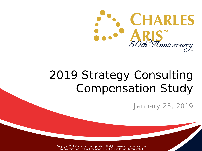

# 2019 Strategy Consulting Compensation Study

January 25, 2019

Copyright 2019 Charles Aris Incorporated. All rights reserved. Not to be utilized by any third party without the prior consent of Charles Aris Incorporated.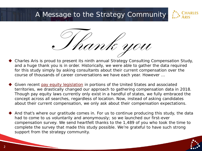### A Message to the Strategy Community





- Charles Aris is proud to present its ninth annual Strategy Consulting Compensation Study, and a huge thank you is in order. Historically, we were able to gather the data required for this study simply by asking consultants about their current compensation over the course of thousands of career conversations we have each year. However …
- Given recent [pay equity legislation](https://charlesaris.com/pay-equity-laws/) in portions of the United States and associated territories, we drastically changed our approach to gathering compensation data in 2018. Though pay equity laws currently only exist in a handful of states, we fully embraced the concept across all searches, regardless of location. Now, instead of asking candidates about their current compensation, we only ask about their compensation expectations.
- And that's where our gratitude comes in. For us to continue producing this study, the data had to come to us voluntarily and anonymously; so we launched our first-ever compensation survey. We send heartfelt thanks to the 1,489 of you who took the time to complete the survey that made this study possible. We're grateful to have such strong support from the strategy community.

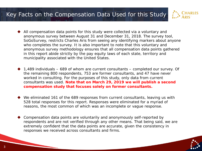#### Key Facts on the Compensation Data Used for this Study



- All compensation data points for this study were collected via a voluntary and anonymous survey between August 31 and December 31, 2018. The survey tool, SoGoSurvey, restricts Charles Aris from seeing any identifying markers about anyone who completes the survey. It is also important to note that this voluntary and anonymous survey methodology ensures that all compensation data points gathered in this report abide strictly by the pay equity laws of each state, territory and municipality associated with the United States.
- 1,489 individuals 689 of whom are current consultants completed our survey. Of the remaining 800 respondents, 753 are former consultants, and 47 have never worked in consulting. For the purposes of this study, only data from current consultants was used. **Note that on March 29, 2019 we will publish a second compensation study that focuses solely on former consultants.**
- We eliminated 161 of the 689 responses from current consultants, leaving us with 528 total responses for this report. Responses were eliminated for a myriad of reasons, the most common of which was an incomplete or vague response.
- Compensation data points are voluntarily and anonymously self-reported by respondents and are not verified through any other means. That being said, we are extremely confident that the data points are accurate, given the consistency in responses we received across consultants and firms.

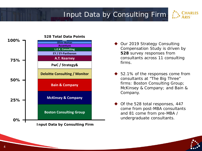## Input Data by Consulting Firm



- ◆ Our 2019 Strategy Consulting Compensation Study is driven by **528** survey responses from consultants across 11 consulting firms.
- ▶ 52.1% of the responses come from consultants at "The Big Three" firms: Boston Consulting Group; McKinsey & Company; and Bain & Company.
- ◆ Of the 528 total responses, 447 come from post-MBA consultants and 81 come from pre-MBA /

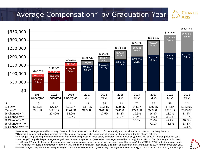#### Average Compensation\* by Graduation Year



\*Base salary plus target annual bonus only. Does not include retirement contribution, profit sharing, sign-on, car allowance or other such cash equivalents.

\*\*Standard Deviation and Median numbers are calculated for base salary plus target annual bonus, i.e. the number at the top of each column.

^% Change1Yr equals the percentage change in total annual compensation (base salary plus target annual bonus only), from 2017 to 2018, for that graduation year. ^^% Change2Yr equals the percentage change in total annual compensation (base salary plus target annual bonus only), from 2016 to 2018, for that graduation year. ^^^% Change3Yr equals the percentage change in total annual compensation (base salary plus target annual bonus only), from 2015 to 2018, for that graduation year. ww% Change4Yr equals the percentage change in total annual compensation (base salary plus target annual bonus only), from 2014 to 2018, for that graduation year.<br>www% Change5Yr equals the percentage change in total annual

**CHARLES ARIS** 

5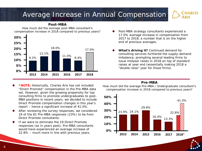#### 6

## Average Increase in Annual Compensation

17.0%

9.4%

11.0%

#### **Post-MBA**

How much did the average post-MBA consultant's compensation increase in 2018 compared to previous years?

18.0%



9.2%

**15% 20%**

**10%**

**5%**

**25%**

**30%**

13.1%

- After reviewing the survey responses, we considered 19 of the 81 Pre-MBA responses (23%) to be from Direct Promote consultants.
- If we were to eliminate the 19 Direct Promote responses (as in years past), Pre-MBA consultants would have experienced an average increase of 22.8% – much more in line with previous years. **<sup>2015</sup>**

#### Post-MBA strategy consultants experienced a 17.0% average increase in compensation from 2017 to 2018, a number that is on the higher end of previous averages.

 **What's driving it?** Continued demand for consulting services furthered the supply-demand imbalance, prompting several leading firms to issue midyear raises in 2018 on top of standard raises at year end (essentially making 2018 a "double raise" year for those firms).

#### **Pre-MBA**

How much did the average Pre-MBA / Undergraduate consultant's compensation increase in 2018 compared to previous years?



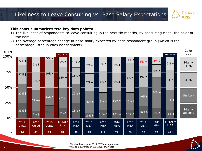#### Likeliness to Leave Consulting vs. Base Salary Expectations

#### **This chart summarizes two key data points:**

- 1) The likeliness of respondents to leave consulting in the next six months, by consulting class (the color of the bars)
- 2) The average percentage change in base salary expected by each respondent group (which is the percentage listed in each bar segment).





 $\ddot{\cdot}$ 

**CHARLES** 

**ARIS**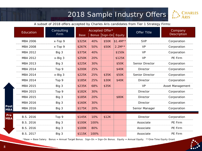### 2018 Sample Industry Offers



*A subset of 2018 offers accepted by Charles Aris candidates from Tier 1 Strategy Firms:*

|                    | Education       | Consulting<br><b>Firm</b> | Accepted Offer*<br>Bonus Sign-On Equity |      | Offer Title | Company   |                 |                  |
|--------------------|-----------------|---------------------------|-----------------------------------------|------|-------------|-----------|-----------------|------------------|
|                    |                 |                           | <b>Base</b>                             |      |             |           |                 | Description      |
|                    | MBA 2006        | x-Top 9                   | \$325K                                  | 40%  | \$50K       | $$1.4M**$ | <b>SVP</b>      | Corporation      |
|                    | <b>MBA 2008</b> | x-Top 9                   | \$267K                                  | 50%  | \$50K       | $2.2M**$  | <b>VP</b>       | Corporation      |
|                    | MBA 2012        | Big 3                     | \$375K                                  | 40%  |             | \$150k    | <b>VP</b>       | Corporation      |
|                    | MBA 2012        | x-Big 3                   | \$250K                                  | 20%  |             | \$125K    | <b>VP</b>       | PE Firm          |
|                    | MBA 2013        | Big 3                     | \$225K                                  | 30%  |             | \$50K     | Senior Director | Corporation      |
|                    | MBA 2014        | Top 9                     | \$200K                                  | 25%  |             | \$40K     | Director        | Corporation      |
|                    | <b>MBA 2014</b> | x-Big 3                   | \$225K                                  | 25%  | \$35K       | \$50K     | Senior Director | Corporation      |
|                    | MBA 2014        | Top 9                     | \$185K                                  | 25%  | \$30K       | \$40K     | Director        | Corporation      |
|                    | MBA 2015        | Big 3                     | \$235K                                  | 68%  | \$35K       |           | <b>VP</b>       | Asset Management |
|                    | MBA 2015        | Top 9                     | \$182K                                  | 30%  |             |           | Director        | Corporation      |
|                    | MBA 2015        | Big 3                     | \$185K                                  | 20%  |             | \$80K     | Director        | Corporation      |
|                    | MBA 2016        | Big 3                     | \$160K                                  | 30%  |             |           | <b>Director</b> | Corporation      |
| Post<br><b>MBA</b> | MBA 2016        | Big 3                     | \$175K                                  | 20%  |             |           | Senior Manager  | Corporation      |
| Pre                | B.S. 2016       | Top 9                     | \$145K                                  | 10%  | \$12K       |           | Director        | Corporation      |
| <b>MBA</b>         | B.S. 2016       | Big 3                     | \$100K                                  | 100% |             |           | Associate       | PE Firm          |
|                    | B.S. 2016       | Big 3                     | \$100K                                  | 80%  |             |           | Associate       | PE Firm          |
|                    | B.S. 2017       | Big 3                     | \$115K                                  | 100% |             |           | Associate       | PE Firm          |

\*Base = Base Salary. Bonus = Annual Target Bonus. Sign-On = Sign-On Bonus. Equity = Annual Equity. \*\*One-Time Equity Grant

 $\mathsf{P}$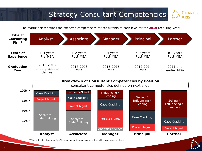### **Strategy Consultant Competencies**



*The matrix below defines the expected competencies for consultants at each level for the 2019 recruiting year:* 



\*Titles differ significantly by firm. These are meant to serve as generic titles which work across all firms.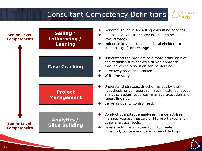## Consultant Competency Definitions



| <b>Senior-Level</b><br><b>Competencies</b> | Selling /<br>Influencing /<br>Leading | Generate revenue by selling consulting services.<br>Establish vision, frame key issues and set high-<br>level strategy.<br>Influence key executives and stakeholders to<br>support significant change.                    |
|--------------------------------------------|---------------------------------------|---------------------------------------------------------------------------------------------------------------------------------------------------------------------------------------------------------------------------|
|                                            | <b>Case Cracking</b>                  | Understand the problem at a more granular level<br>and establish a hypothesis-driven approach<br>through which a solution can be derived.<br>Effectively solve the problem.<br>Write the storyline.                       |
|                                            | <b>Project</b><br><b>Management</b>   | Understand strategic direction as set by the<br>hypothesis-driven approach, set milestones, scope<br>analysis, assign resources, manage execution and<br>report findings.<br>Serve as quality control lead.               |
| <b>Junior-Level</b><br><b>Competencies</b> | Analytics /<br><b>Slide Building</b>  | Conduct quantitative analyses in a defect-free<br>manner. Possess mastery of Microsoft Excel and<br>other analytical tools.<br>Leverage Microsoft PowerPoint to create<br>impactful, concise and defect-free slide loops. |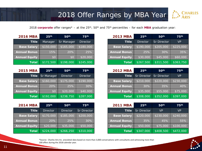#### 2018 Offer Ranges by MBA Year



*2018 corporate offer ranges\* – at the 25th, 50th and 75th percentiles – for each MBA graduation year:* 

| <b>2016 MBA</b>      | 25 <sup>th</sup> | 50 <sup>th</sup> | <b>75th</b>     |
|----------------------|------------------|------------------|-----------------|
| <b>Title</b>         | Manager          | Sr Manager       | <b>Director</b> |
| <b>Base Salary</b>   | \$150,000        | \$165,000        | \$180,000       |
| <b>Annual Bonus</b>  | 15%              | 20%              | 25%             |
| <b>Annual Equity</b> | \$0              | \$0              | \$20,000        |
| <b>Total</b>         | \$172,500        | \$198,000        | \$245,000       |

| <b>2015 MBA</b>      | 25 <sup>th</sup>  | 50 <sup>th</sup> | 75 <sup>th</sup> |
|----------------------|-------------------|------------------|------------------|
| <b>Title</b>         | <b>Sr Manager</b> | <b>Director</b>  | <b>Director</b>  |
| <b>Base Salary</b>   | \$160,000         | \$175,000        | \$190,000        |
| <b>Annual Bonus</b>  | 20%               | 25%              | 30%              |
| <b>Annual Equity</b> | \$0               | \$20,000         | \$40,000         |
| <b>Total</b>         | \$192,000         | \$238,750        | \$287,000        |

| <b>2014 MBA</b>      | 25 <sup>th</sup> | 50 <sup>th</sup> | 75 <sup>th</sup>   |
|----------------------|------------------|------------------|--------------------|
| Title                | <b>Director</b>  | <b>Director</b>  | <b>Sr Director</b> |
| <b>Base Salary</b>   | \$170,000        | \$185,000        | \$200,000          |
| <b>Annual Bonus</b>  | 20%              | 125%             | 30%                |
| <b>Annual Equity</b> | \$20,000         | \$35,000         | \$50,000           |
| <b>Total</b>         | \$224,000        | \$266,250        | \$310,000          |

| <b>2013 MBA</b>      | 25 <sup>th</sup> | 50 <sup>th</sup>   | 75 <sup>th</sup> |
|----------------------|------------------|--------------------|------------------|
| Title                | <b>Director</b>  | <b>Sr Director</b> | <b>VP</b>        |
| <b>Base Salary</b>   | \$190,000        | \$205,000          | \$225,000        |
| <b>Annual Bonus</b>  | 25%              | 30%                | 35%              |
| <b>Annual Equity</b> | \$30,000         | \$45,000           | \$60,000         |
| <b>Total</b>         | \$267,500        | \$311,500          | \$363,750        |

| <b>2012 MBA</b>      | 25 <sup>th</sup>   | 50 <sup>th</sup>   | 75 <sup>th</sup> |
|----------------------|--------------------|--------------------|------------------|
| Title                | <b>Sr Director</b> | <b>Sr Director</b> | VP               |
| <b>Base Salary</b>   | \$210,000          | \$220,000          | \$230,000        |
| <b>Annual Bonus</b>  | 30%                | 35%                | 40%              |
| <b>Annual Equity</b> | \$35,000           | \$55,000           | \$75,000         |
| <b>Total</b>         | \$308,000          | \$352,000          | \$397,000        |

| <b>2011 MBA</b>      | 25 <sup>th</sup>   | 50 <sup>th</sup> | 75 <sup>th</sup> |
|----------------------|--------------------|------------------|------------------|
| <b>Title</b>         | <b>Sr Director</b> | VP               | <b>VP</b>        |
| <b>Base Salary</b>   | \$220,000          | \$230,000        | \$240,000        |
| <b>Annual Bonus</b>  | 35%                | 45%              | 55%              |
| <b>Annual Equity</b> | \$50,000           | \$75,000         | \$100,000        |
| <b>Total</b>         | \$347,000          | \$408,500        | \$472,000        |

\*Source: Charles Aris Inc. anecdotal data based on more than 3,000 conversations with consultants and witnessing more than 100 offers during the 2018 calendar year.

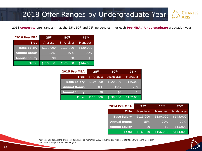## 2018 Offer Ranges by Undergraduate Year

*2018 corporate offer ranges\* – at the 25th, 50th and 75th percentiles – for each Pre-MBA / Undergraduate graduation year:*

| 2016 Pre-MBA         | 25 <sup>th</sup> | 50 <sup>th</sup>  | 75 <sup>th</sup> |
|----------------------|------------------|-------------------|------------------|
| <b>Title</b>         | Analyst          | <b>Sr Analyst</b> | Manager          |
| <b>Base Salary</b>   | \$100,000        | \$110,000         | \$120,000        |
| <b>Annual Bonus</b>  | 10%              | 15%               | 20%              |
| <b>Annual Equity</b> | \$0              | \$0               | \$0              |
| <b>Total</b>         | \$110,000        | \$126,500         | \$144,000        |

| 2015 Pre-MBA         | 25 <sup>th</sup>  | 50 <sup>th</sup> | 75 <sup>th</sup> |
|----------------------|-------------------|------------------|------------------|
| <b>Title</b>         | <b>Sr Analyst</b> | Associate        | Manager          |
| <b>Base Salary</b>   | \$105,000         | \$120,000        | \$135,000        |
| <b>Annual Bonus</b>  | 10%               | 15%              | $ 20\% $         |
| <b>Annual Equity</b> | \$0               | \$0              | \$0              |
| <b>Total</b>         | \$115,500         | \$138,000        | \$162,000        |

| 2014 Pre-MBA         | 25 <sup>th</sup> | 50 <sup>th</sup> | 75 <sup>th</sup>  |
|----------------------|------------------|------------------|-------------------|
| <b>Title</b>         | Associate        | Manager          | <b>Sr Manager</b> |
| <b>Base Salary</b>   | \$115,000        | \$130,000        | \$145,000         |
| <b>Annual Bonus</b>  | 15%              | 20%              | 20%               |
| <b>Annual Equity</b> | \$0              | \$0              | \$15,000          |
| <b>Total</b>         | \$132,250        | \$156,000        | \$174,000         |

\*Source: Charles Aris Inc. anecdotal data based on more than 3,000 conversations with consultants and witnessing more than 100 offers during the 2018 calendar year.



**ARLES**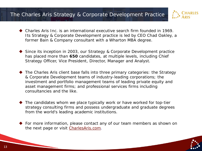#### The Charles Aris Strategy & Corporate Development Practice



- Charles Aris Inc. is an international executive search firm founded in 1969. Its Strategy & Corporate Development practice is led by CEO Chad Oakley, a former Bain & Company consultant with a Wharton MBA degree.
- ◆ Since its inception in 2003, our Strategy & Corporate Development practice has placed more than **650** candidates, at multiple levels, including Chief Strategy Officer, Vice President, Director, Manager and Analyst.
- ◆ The Charles Aris client base falls into three primary categories: the Strategy & Corporate Development teams of industry-leading corporations; the investment and portfolio management teams of leading private equity and asset management firms; and professional services firms including consultancies and the like.
- ◆ The candidates whom we place typically work or have worked for top-tier strategy consulting firms and possess undergraduate and graduate degrees from the world's leading academic institutions.
- ◆ For more information, please contact any of our team members as shown on the next page or visit [CharlesAris.com](https://charlesaris.com/functional-industry/strategy-corporate-development/).

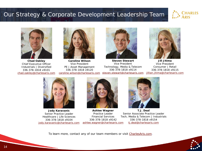#### Our Strategy & Corporate Development Leadership Team





**Chad Oakley** Chief Executive Officer Industrials | Diversified 336-378-1818 x9101 [chad.oakley@charlesaris.com](mailto:chad.okaley@charlesaris.com)



**Caroline Wilson** Vice President PE | Asset Management 336-378-1818 x9120 [caroline.wilson@charlesaris.com](mailto:caroline.wilson@charlesaris.com)



**Steven Stewart** Vice President Technology, Media & Telecom 336-378-1818 x9114 [steven.stewart@charlesaris.com](mailto:steven.stewart@charlesaris.com)



**Jill Jitima** Vice President Consumer | Retail 336-378-1818 x9115 [jillian.jitima@charlesaris.com](mailto:jillian.jitima@charlesaris.com)



**Jody Karavanic** Senior Practice Leader Healthcare | Life Sciences 336-378-1818 x9104 [jody.karavanic@charlesaris.com](mailto:jody.karavanic@charlesaris.com)



**Ashlee Wagner** Practice Leader Financial Services 336-378-1818 x9142 [ashlee.wagner@charlesaris.com](mailto:ashlee.wagner@charlesaris.com)



**T.J. Deal**  Senior Associate Practice Leader Tech, Media & Telecom | Industrials 336-378-1818 x9154 [tj.deal@charlesaris.com](mailto:tj.deal@charlesaris.com)

To learn more, contact any of our team members or visit [CharlesAris.com.](https://charlesaris.com/functional-industry/strategy-corporate-development/)

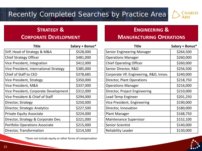## Recently Completed Searches by Practice Area



# **STRATEGY &**

#### **CORPORATE DEVELOPMENT**

| Title                                      | Salary + Bonus* |
|--------------------------------------------|-----------------|
| <b>SVP, Head of Strategy &amp; M&amp;A</b> | \$528,000       |
| <b>Chief Strategy Officer</b>              | \$481,000       |
| Vice President, Integration                | \$412,000       |
| Vice President, International Strategy     | \$385,000       |
| Chief of Staff to CEO                      | \$378,685       |
| Vice President, Strategy                   | \$350,000       |
| Vice President, M&A                        | \$337,000       |
| Vice President, Corporate Development      | \$312,000       |
| Vice President & Chief of Staff            | \$294,000       |
| Director, Strategy                         | \$250,000       |
| Director, Strategic Analytics              | \$227,500       |
| <b>Private Equity Associate</b>            | \$224,000       |
| Director, Strategy & Corporate Dev.        | \$221,000       |
| <b>Portfolio Operations Associate</b>      | \$215,000       |
| Director, Transformation                   | \$214,500       |

\*Does not include equity or other forms of compensation

## **ENGINEERING &**

#### **MANUFACTURING OPERATIONS**

| Title                                  | Salary + Bonus* |
|----------------------------------------|-----------------|
| Senior Engineering Manager             | \$264,500       |
| <b>Operations Manager</b>              | \$260,000       |
| <b>Chief Operating Officer</b>         | \$260,000       |
| Senior Director, R&D                   | \$256,500       |
| Corporate VP, Engineering, R&D, Innov. | \$240,000       |
| Director, Plant Operations             | \$218,750       |
| <b>Operations Manager</b>              | \$216,000       |
| Director, Project Engineering          | \$210,000       |
| Lead Temp Engineer                     | \$201,250       |
| Vice President, Engineering            | \$190,000       |
| Director, Innovation                   | \$180,000       |
| <b>Plant Manager</b>                   | \$168,750       |
| <b>Maintenance Supervisor</b>          | \$152,100       |
| <b>Senior Scientist</b>                | \$140,000       |
| <b>Reliability Leader</b>              | \$130,000       |

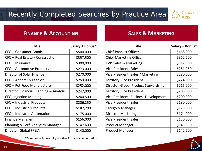

#### **FINANCE & ACCOUNTING SALES & MARKETING**

| Title                                   | Salary + Bonus* |
|-----------------------------------------|-----------------|
| CFO – Consumer Goods                    | \$500,000       |
| CFO - Real Estate / Construction        | \$357,500       |
| CFO - Insurance                         | \$300,000       |
| CFO - Automotive Products               | \$273,000       |
| Director of Solar Finance               | \$270,000       |
| CFO – Apparel & Fashion                 | \$259,000       |
| CFO - Pet Food Manufacturer             | \$252,000       |
| Director, Financial Planning & Analysis | \$247,000       |
| CFO, Injection Molding                  | \$240,500       |
| CFO - Industrial Products               | \$206,250       |
| CFO - Industrial Products               | \$187,200       |
| CFO - Industrial Automation             | \$175,000       |
| <b>Finance Manager</b>                  | \$156,000       |
| Planning & Perf. Analytics Manager      | \$147,600       |
| Director, Global FP&A                   | \$140,000       |

\*Does not include equity or other forms of compensation

| <b>Title</b>                         | Salary + Bonus* |
|--------------------------------------|-----------------|
| <b>Chief Product Officer</b>         | \$468,000       |
| <b>Chief Marketing Officer</b>       | \$362,500       |
| EVP, Sales & Marketing               | \$317,300       |
| Vice President, Sales                | \$281,250       |
| Vice President, Sales / Marketing    | \$280,000       |
| <b>Territory Vice President</b>      | \$224,000       |
| Director, Global Product Stewardship | \$215,000       |
| <b>Territory Vice President</b>      | \$208,000       |
| Vice President, Business Development | \$200,000       |
| Vice President, Sales                | \$180,000       |
| Category Manager                     | \$175,000       |
| Director, Marketing                  | \$174,000       |
| Vice President, Sales                | \$150,000       |
| <b>Product Manager</b>               | \$143,850       |
| <b>Product Manager</b>               | \$142,500       |